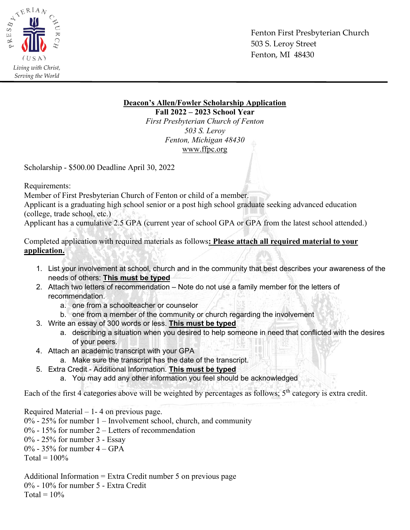

Fenton First Presbyterian Church 503 S. Leroy Street Fenton, MI 48430

**Deacon's Allen/Fowler Scholarship Application**

**Fall 2022 – 2023 School Year** *First Presbyterian Church of Fenton 503 S. Leroy Fenton, Michigan 48430* [www.ffpc.org](http://www.ffpc.org/)

Scholarship - \$500.00 Deadline April 30, 2022

Requirements:

Member of First Presbyterian Church of Fenton or child of a member.

Applicant is a graduating high school senior or a post high school graduate seeking advanced education (college, trade school, etc.)

Applicant has a cumulative 2.5 GPA (current year of school GPA or GPA from the latest school attended.)

Completed application with required materials as follows**: Please attach all required material to your application.**

- 1. List your involvement at school, church and in the community that best describes your awareness of the needs of others: **This must be typed**
- 2. Attach two letters of recommendation Note do not use a family member for the letters of recommendation.
	- a. one from a schoolteacher or counselor
	- b. one from a member of the community or church regarding the involvement
- 3. Write an essay of 300 words or less. **This must be typed**
	- a. describing a situation when you desired to help someone in need that conflicted with the desires of your peers.
- 4. Attach an academic transcript with your GPA
	- a. Make sure the transcript has the date of the transcript.
- 5. Extra Credit Additional Information. **This must be typed**
	- a. You may add any other information you feel should be acknowledged

Each of the first 4 categories above will be weighted by percentages as follows; 5<sup>th</sup> category is extra credit.

Required Material – 1- 4 on previous page.

- 0% 25% for number 1 Involvement school, church, and community
- 0% 15% for number 2 Letters of recommendation
- 0% 25% for number 3 Essay
- $0\%$  35% for number 4 GPA

 $Total = 100\%$ 

Additional Information = Extra Credit number 5 on previous page 0% - 10% for number 5 - Extra Credit  $Total = 10\%$